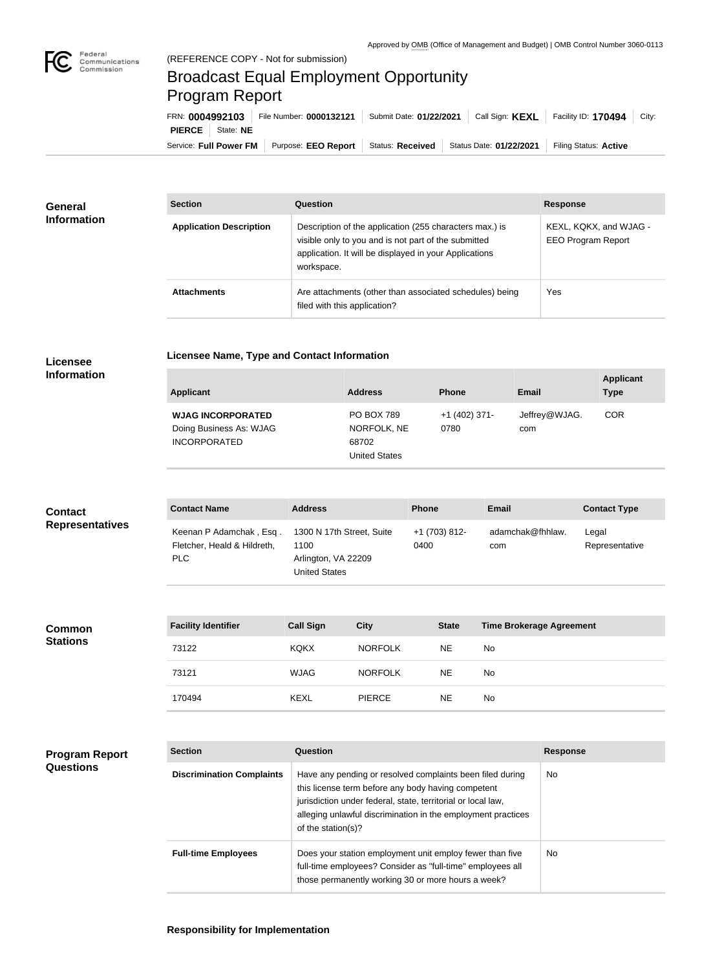

## Broadcast Equal Employment Opportunity Program Report

**Licensee Name, Type and Contact Information**

| FRN: 0004992103        |           | File Number: 0000132121 | Submit Date: 01/22/2021 | Call Sign: <b>KEXL</b>  | Facility ID: 170494<br>City: |
|------------------------|-----------|-------------------------|-------------------------|-------------------------|------------------------------|
| <b>PIERCE</b>          | State: NE |                         |                         |                         |                              |
| Service: Full Power FM |           | Purpose: EEO Report     | Status: Received        | Status Date: 01/22/2021 | Filing Status: Active        |

| <b>General</b><br><b>Information</b> | <b>Section</b>                 | Question                                                                                                                                                                                | <b>Response</b>                                     |
|--------------------------------------|--------------------------------|-----------------------------------------------------------------------------------------------------------------------------------------------------------------------------------------|-----------------------------------------------------|
|                                      | <b>Application Description</b> | Description of the application (255 characters max.) is<br>visible only to you and is not part of the submitted<br>application. It will be displayed in your Applications<br>workspace. | KEXL, KQKX, and WJAG -<br><b>EEO Program Report</b> |
|                                      | <b>Attachments</b>             | Are attachments (other than associated schedules) being<br>filed with this application?                                                                                                 | Yes                                                 |

## **Licensee Information**

| <b>Applicant</b>                                                           | <b>Address</b>                                                    | <b>Phone</b>            | <b>Email</b>         | <b>Applicant</b><br><b>Type</b> |
|----------------------------------------------------------------------------|-------------------------------------------------------------------|-------------------------|----------------------|---------------------------------|
| <b>WJAG INCORPORATED</b><br>Doing Business As: WJAG<br><b>INCORPORATED</b> | <b>PO BOX 789</b><br>NORFOLK, NE<br>68702<br><b>United States</b> | $+1$ (402) 371-<br>0780 | Jeffrey@WJAG.<br>com | <b>COR</b>                      |

| <b>Contact</b>         | <b>Contact Name</b>                                           | <b>Address</b>                                                                   | <b>Phone</b>          | <b>Email</b>            | <b>Contact Type</b>     |
|------------------------|---------------------------------------------------------------|----------------------------------------------------------------------------------|-----------------------|-------------------------|-------------------------|
| <b>Representatives</b> | Keenan P Adamchak, Esq.<br>Fletcher, Heald & Hildreth,<br>PLC | 1300 N 17th Street, Suite<br>1100<br>Arlington, VA 22209<br><b>United States</b> | +1 (703) 812-<br>0400 | adamchak@fhhlaw.<br>com | Legal<br>Representative |

| <b>Facility Identifier</b> | <b>Call Sign</b> | <b>City</b>    | <b>State</b> | <b>Time Brokerage Agreement</b> |
|----------------------------|------------------|----------------|--------------|---------------------------------|
| 73122                      | <b>KQKX</b>      | <b>NORFOLK</b> | <b>NE</b>    | No.                             |
| 73121                      | <b>WJAG</b>      | <b>NORFOLK</b> | <b>NE</b>    | No.                             |
| 170494                     | <b>KEXL</b>      | <b>PIERCE</b>  | <b>NE</b>    | No                              |

| <b>Program Report</b> |
|-----------------------|
| <b>Questions</b>      |

**Common Stations**

| <b>Section</b>                   | Question                                                                                                                                                                                                                                                              | <b>Response</b> |
|----------------------------------|-----------------------------------------------------------------------------------------------------------------------------------------------------------------------------------------------------------------------------------------------------------------------|-----------------|
| <b>Discrimination Complaints</b> | Have any pending or resolved complaints been filed during<br>this license term before any body having competent<br>jurisdiction under federal, state, territorial or local law,<br>alleging unlawful discrimination in the employment practices<br>of the station(s)? | <b>No</b>       |
| <b>Full-time Employees</b>       | Does your station employment unit employ fewer than five<br>full-time employees? Consider as "full-time" employees all<br>those permanently working 30 or more hours a week?                                                                                          | <b>No</b>       |